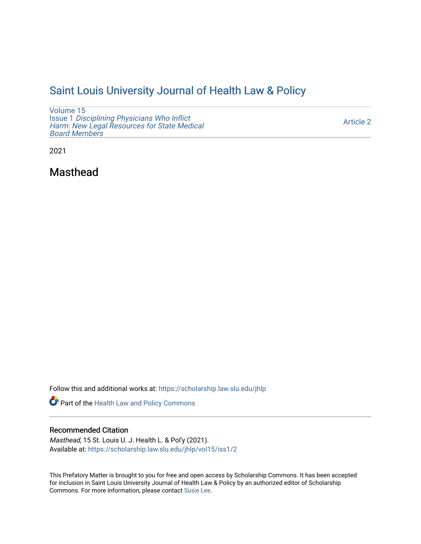# [Saint Louis University Journal of Health Law & Policy](https://scholarship.law.slu.edu/jhlp)

[Volume 15](https://scholarship.law.slu.edu/jhlp/vol15) Issue 1 [Disciplining Physicians Who Inflict](https://scholarship.law.slu.edu/jhlp/vol15/iss1)  [Harm: New Legal Resources for State Medical](https://scholarship.law.slu.edu/jhlp/vol15/iss1) [Board Members](https://scholarship.law.slu.edu/jhlp/vol15/iss1)

[Article 2](https://scholarship.law.slu.edu/jhlp/vol15/iss1/2) 

2021

Masthead

Follow this and additional works at: [https://scholarship.law.slu.edu/jhlp](https://scholarship.law.slu.edu/jhlp?utm_source=scholarship.law.slu.edu%2Fjhlp%2Fvol15%2Fiss1%2F2&utm_medium=PDF&utm_campaign=PDFCoverPages)

Part of the [Health Law and Policy Commons](http://network.bepress.com/hgg/discipline/901?utm_source=scholarship.law.slu.edu%2Fjhlp%2Fvol15%2Fiss1%2F2&utm_medium=PDF&utm_campaign=PDFCoverPages) 

## Recommended Citation

Masthead, 15 St. Louis U. J. Health L. & Pol'y (2021). Available at: [https://scholarship.law.slu.edu/jhlp/vol15/iss1/2](https://scholarship.law.slu.edu/jhlp/vol15/iss1/2?utm_source=scholarship.law.slu.edu%2Fjhlp%2Fvol15%2Fiss1%2F2&utm_medium=PDF&utm_campaign=PDFCoverPages) 

This Prefatory Matter is brought to you for free and open access by Scholarship Commons. It has been accepted for inclusion in Saint Louis University Journal of Health Law & Policy by an authorized editor of Scholarship Commons. For more information, please contact [Susie Lee](mailto:susie.lee@slu.edu).